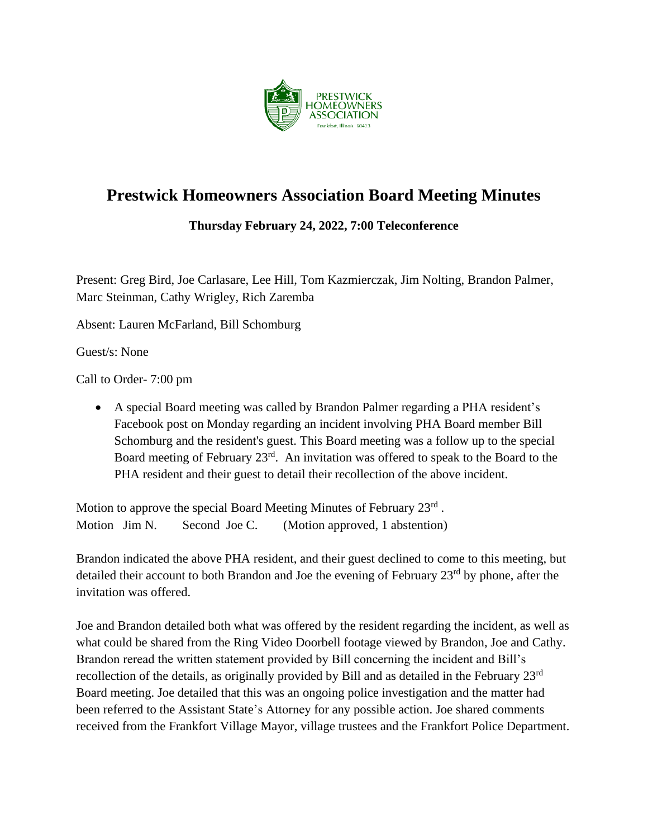

## **Prestwick Homeowners Association Board Meeting Minutes**

**Thursday February 24, 2022, 7:00 Teleconference**

Present: Greg Bird, Joe Carlasare, Lee Hill, Tom Kazmierczak, Jim Nolting, Brandon Palmer, Marc Steinman, Cathy Wrigley, Rich Zaremba

Absent: Lauren McFarland, Bill Schomburg

Guest/s: None

Call to Order- 7:00 pm

• A special Board meeting was called by Brandon Palmer regarding a PHA resident's Facebook post on Monday regarding an incident involving PHA Board member Bill Schomburg and the resident's guest. This Board meeting was a follow up to the special Board meeting of February 23<sup>rd</sup>. An invitation was offered to speak to the Board to the PHA resident and their guest to detail their recollection of the above incident.

Motion to approve the special Board Meeting Minutes of February 23rd. Motion Jim N. Second Joe C. (Motion approved, 1 abstention)

Brandon indicated the above PHA resident, and their guest declined to come to this meeting, but detailed their account to both Brandon and Joe the evening of February 23<sup>rd</sup> by phone, after the invitation was offered.

Joe and Brandon detailed both what was offered by the resident regarding the incident, as well as what could be shared from the Ring Video Doorbell footage viewed by Brandon, Joe and Cathy. Brandon reread the written statement provided by Bill concerning the incident and Bill's recollection of the details, as originally provided by Bill and as detailed in the February 23rd Board meeting. Joe detailed that this was an ongoing police investigation and the matter had been referred to the Assistant State's Attorney for any possible action. Joe shared comments received from the Frankfort Village Mayor, village trustees and the Frankfort Police Department.